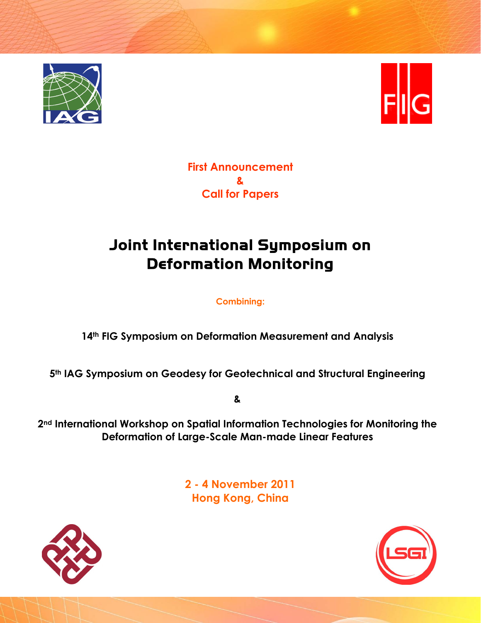



**First Announcement & Call for Papers** 

# Joint International Symposium on Deformation Monitoring

**Combining:** 

**14th FIG Symposium on Deformation Measurement and Analysis** 

**5th IAG Symposium on Geodesy for Geotechnical and Structural Engineering** 

**&** 

**2nd International Workshop on Spatial Information Technologies for Monitoring the Deformation of Large-Scale Man-made Linear Features** 

> **2 - 4 November 2011 Hong Kong, China**



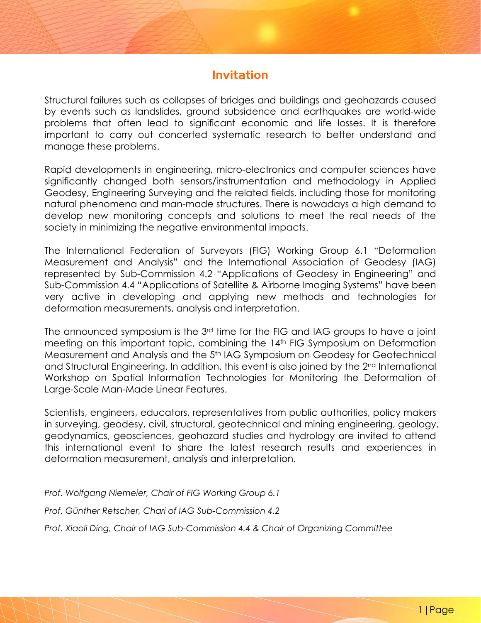## Invitation

Structural failures such as collapses of bridges and buildings and geohazards caused by events such as landslides, ground subsidence and earthquakes are world-wide problems that often lead to significant economic and life losses. It is therefore important to carry out concerted systematic research to better understand and manage these problems.

Rapid developments in engineering, micro-electronics and computer sciences have significantly changed both sensors/instrumentation and methodology in Applied Geodesy, Engineering Surveying and the related fields, including those for monitoring natural phenomena and man-made structures. There is nowadays a high demand to develop new monitoring concepts and solutions to meet the real needs of the society in minimizing the negative environmental impacts.

The International Federation of Surveyors (FIG) Working Group 6.1 "Deformation Measurement and Analysis" and the International Association of Geodesy (IAG) represented by Sub-Commission 4.2 "Applications of Geodesy in Engineering" and Sub-Commission 4.4 "Applications of Satellite & Airborne Imaging Systems" have been very active in developing and applying new methods and technologies for deformation measurements, analysis and interpretation.

The announced symposium is the 3rd time for the FIG and IAG groups to have a joint meeting on this important topic, combining the 14<sup>th</sup> FIG Symposium on Deformation Measurement and Analysis and the 5th IAG Symposium on Geodesy for Geotechnical and Structural Engineering. In addition, this event is also joined by the 2nd International Workshop on Spatial Information Technologies for Monitoring the Deformation of Large-Scale Man-Made Linear Features.

Scientists, engineers, educators, representatives from public authorities, policy makers in surveying, geodesy, civil, structural, geotechnical and mining engineering, geology, geodynamics, geosciences, geohazard studies and hydrology are invited to attend this international event to share the latest research results and experiences in deformation measurement, analysis and interpretation.

*Prof. Wolfgang Niemeier, Chair of FIG Working Group 6.1* 

*Prof. Günther Retscher, Chari of IAG Sub-Commission 4.2* 

*Prof. Xiaoli Ding, Chair of IAG Sub-Commission 4.4 & Chair of Organizing Committee*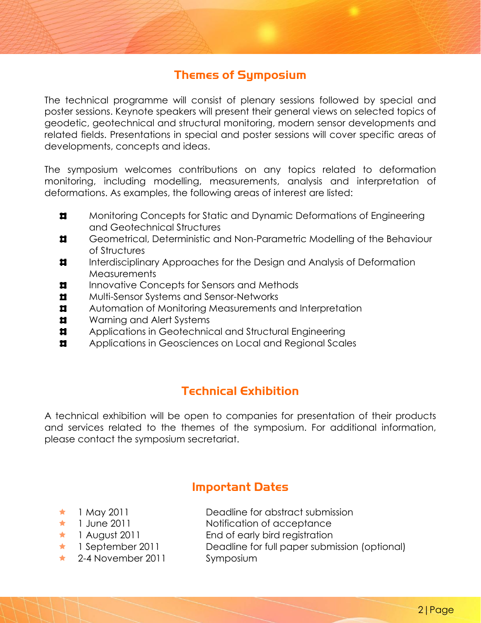## Themes of Symposium

The technical programme will consist of plenary sessions followed by special and poster sessions. Keynote speakers will present their general views on selected topics of geodetic, geotechnical and structural monitoring, modern sensor developments and related fields. Presentations in special and poster sessions will cover specific areas of developments, concepts and ideas.

The symposium welcomes contributions on any topics related to deformation monitoring, including modelling, measurements, analysis and interpretation of deformations. As examples, the following areas of interest are listed:

- $\blacksquare$ Monitoring Concepts for Static and Dynamic Deformations of Engineering and Geotechnical Structures
- $\blacksquare$ Geometrical, Deterministic and Non-Parametric Modelling of the Behaviour of Structures
- $\blacksquare$ Interdisciplinary Approaches for the Design and Analysis of Deformation **Measurements**
- $\blacksquare$ Innovative Concepts for Sensors and Methods
- $\mathbf{r}$ Multi-Sensor Systems and Sensor-Networks
- $\blacksquare$ Automation of Monitoring Measurements and Interpretation
- $\blacksquare$ Warning and Alert Systems
- $\blacksquare$ Applications in Geotechnical and Structural Engineering
- $\mathbf{r}$ Applications in Geosciences on Local and Regional Scales

## Technical Exhibition

A technical exhibition will be open to companies for presentation of their products and services related to the themes of the symposium. For additional information, please contact the symposium secretariat.

## Important Dates

- 
- 
- 
- 
- ★ 2-4 November 2011 Symposium
- **★ 1 May 2011 Deadline for abstract submission**
- **★** 1 June 2011 Notification of acceptance
- **★** 1 August 2011 End of early bird registration
- **★** 1 September 2011 Deadline for full paper submission (optional)
	-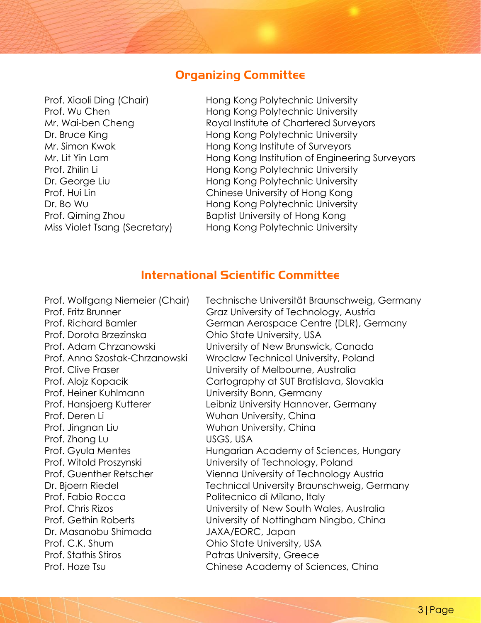#### Organizing Committee

Prof. Xiaoli Ding (Chair) Hong Kong Polytechnic University Prof. Wu Chen **Hong Kong Polytechnic University** Mr. Wai-ben Cheng Royal Institute of Chartered Surveyors Dr. Bruce King **Example 20** Hong Kong Polytechnic University Mr. Simon Kwok Hong Kong Institute of Surveyors Mr. Lit Yin Lam **Hong Kong Institution of Engineering Surveyors** Prof. Zhilin Li **Hong Kong Polytechnic University** Dr. George Liu **Hong Kong Polytechnic University** Prof. Hui Lin Chinese University of Hong Kong Dr. Bo Wu **Hong Kong Polytechnic University** Prof. Qiming Zhou Baptist University of Hong Kong Miss Violet Tsang (Secretary) Hong Kong Polytechnic University

#### International Scientific Committee

Prof. Dorota Brzezinska Ohio State University, USA Prof. Heiner Kuhlmann University Bonn, Germany Prof. Deren Li Wuhan University, China Prof. Jingnan Liu Wuhan University, China Prof. Zhong Lu USGS, USA Prof. Fabio Rocca Politecnico di Milano, Italy Dr. Masanobu Shimada JAXA/EORC, Japan Prof. C.K. Shum **Ohio State University, USA** Prof. Stathis Stiros **Patras University, Greece** 

Prof. Wolfgang Niemeier (Chair) Technische Universität Braunschweig, Germany Prof. Fritz Brunner **Francisco Craz University of Technology**, Austria Prof. Richard Bamler German Aerospace Centre (DLR), Germany Prof. Adam Chrzanowski University of New Brunswick, Canada Prof. Anna Szostak-Chrzanowski Wroclaw Technical University, Poland Prof. Clive Fraser University of Melbourne, Australia Prof. Alojz Kopacik Cartography at SUT Bratislava, Slovakia Prof. Hansjoerg Kutterer Leibniz University Hannover, Germany Prof. Gyula Mentes **Hungarian Academy of Sciences, Hungary** Prof. Witold Proszynski University of Technology, Poland Prof. Guenther Retscher Vienna University of Technology Austria Dr. Bjoern Riedel Technical University Braunschweig, Germany Prof. Chris Rizos University of New South Wales, Australia Prof. Gethin Roberts University of Nottingham Ningbo, China Prof. Hoze Tsu **Chinese Academy of Sciences, China**